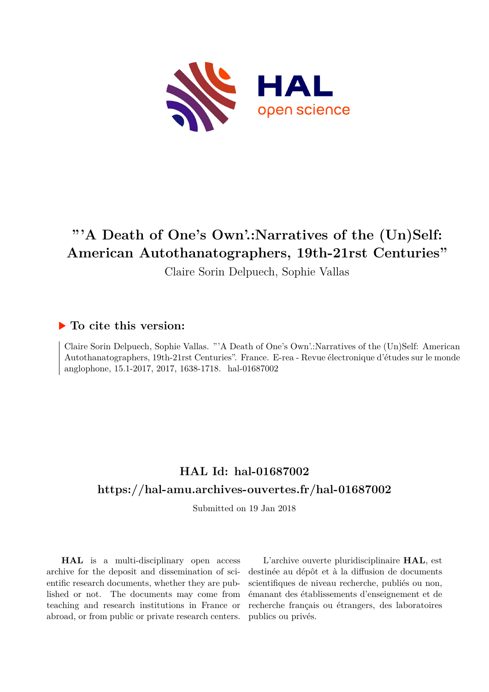

# **"'A Death of One's Own'.:Narratives of the (Un)Self: American Autothanatographers, 19th-21rst Centuries"**

Claire Sorin Delpuech, Sophie Vallas

## **To cite this version:**

Claire Sorin Delpuech, Sophie Vallas. "'A Death of One's Own'.:Narratives of the (Un)Self: American Autothanatographers, 19th-21rst Centuries". France. E-rea - Revue électronique d'études sur le monde anglophone, 15.1-2017, 2017, 1638-1718. hal-01687002

# **HAL Id: hal-01687002 <https://hal-amu.archives-ouvertes.fr/hal-01687002>**

Submitted on 19 Jan 2018

**HAL** is a multi-disciplinary open access archive for the deposit and dissemination of scientific research documents, whether they are published or not. The documents may come from teaching and research institutions in France or abroad, or from public or private research centers.

L'archive ouverte pluridisciplinaire **HAL**, est destinée au dépôt et à la diffusion de documents scientifiques de niveau recherche, publiés ou non, émanant des établissements d'enseignement et de recherche français ou étrangers, des laboratoires publics ou privés.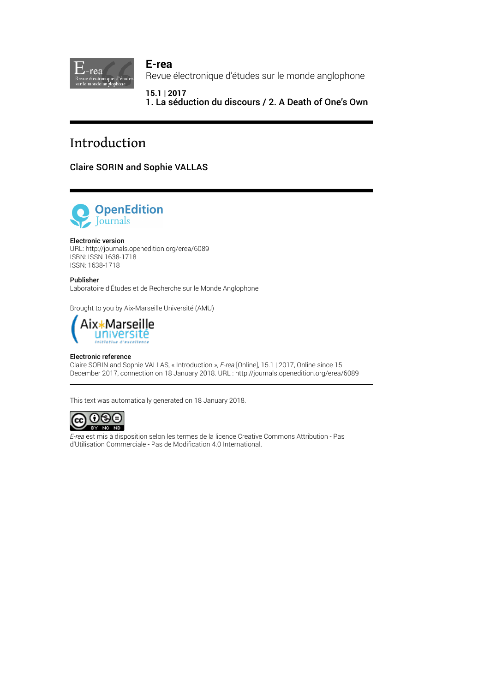

**E-rea** Revue électronique d'études sur le monde anglophone

**15.1 | 2017** 1. La séduction du discours / 2. A Death of One's Own

# Introduction

Claire SORIN and Sophie VALLAS



### Electronic version

URL:<http://journals.openedition.org/erea/6089> ISBN: ISSN 1638-1718 ISSN: 1638-1718

Publisher Laboratoire d'Études et de Recherche sur le Monde Anglophone

Brought to you by Aix-Marseille Université (AMU)



#### Electronic reference

Claire SORIN and Sophie VALLAS, « Introduction », *E-rea* [Online], 15.1 | 2017, Online since 15 December 2017, connection on 18 January 2018. URL : http://journals.openedition.org/erea/6089

This text was automatically generated on 18 January 2018.



*E-rea* est mis à disposition selon les termes de la [licence Creative Commons Attribution - Pas](http://creativecommons.org/licenses/by-nc-nd/4.0/) [d'Utilisation Commerciale - Pas de Modi](http://creativecommons.org/licenses/by-nc-nd/4.0/)fication 4.0 International.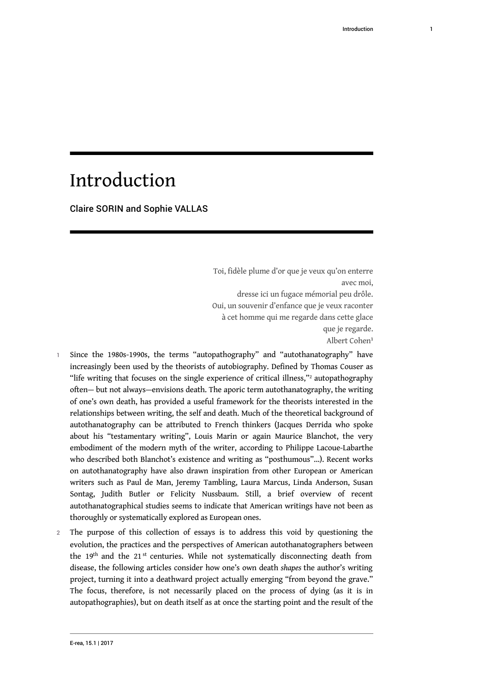# Introduction

Claire SORIN and Sophie VALLAS

<span id="page-2-1"></span><span id="page-2-0"></span>Toi, fidèle plume d'or que je veux qu'on enterre avec moi, dresse ici un fugace mémorial peu drôle. Oui, un souvenir d'enfance que je veux raconter à cet homme qui me regarde dans cette glace que je regarde. Albert Cohen<sup>[1](#page-6-0)</sup>

- Since the 1980s-1990s, the terms "autopathography" and "autothanatography" have increasingly been used by the theorists of autobiography. Defined by Thomas Couser as "life writing that focuses on the single experience of critical illness,"<sup>[2](#page-6-1)</sup> autopathography often— but not always—envisions death. The aporic term autothanatography, the writing of one's own death, has provided a useful framework for the theorists interested in the relationships between writing, the self and death. Much of the theoretical background of autothanatography can be attributed to French thinkers (Jacques Derrida who spoke about his "testamentary writing", Louis Marin or again Maurice Blanchot, the very embodiment of the modern myth of the writer, according to Philippe Lacoue-Labarthe who described both Blanchot's existence and writing as "posthumous"…). Recent works on autothanatography have also drawn inspiration from other European or American writers such as Paul de Man, Jeremy Tambling, Laura Marcus, Linda Anderson, Susan Sontag, Judith Butler or Felicity Nussbaum. Still, a brief overview of recent autothanatographical studies seems to indicate that American writings have not been as thoroughly or systematically explored as European ones.
- 2 The purpose of this collection of essays is to address this void by questioning the evolution, the practices and the perspectives of American autothanatographers between the 19<sup>th</sup> and the 21<sup>st</sup> centuries. While not systematically disconnecting death from disease, the following articles consider how one's own death *shapes* the author's writing project, turning it into a deathward project actually emerging "from beyond the grave." The focus, therefore, is not necessarily placed on the process of dying (as it is in autopathographies), but on death itself as at once the starting point and the result of the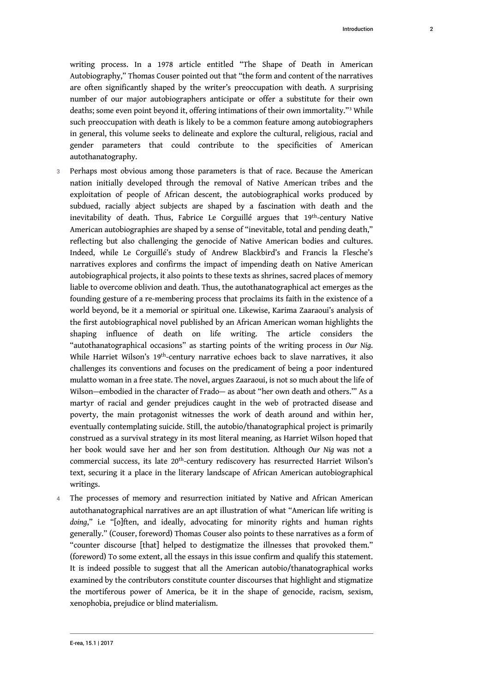<span id="page-3-0"></span>writing process. In a 1978 article entitled "The Shape of Death in American Autobiography," Thomas Couser pointed out that "the form and content of the narratives are often significantly shaped by the writer's preoccupation with death. A surprising number of our major autobiographers anticipate or offer a substitute for their own deaths; some even point beyond it, offering intimations of their own immortality."<sup>[3](#page-6-2)</sup> While such preoccupation with death is likely to be a common feature among autobiographers in general, this volume seeks to delineate and explore the cultural, religious, racial and gender parameters that could contribute to the specificities of American autothanatography.

- 3 Perhaps most obvious among those parameters is that of race. Because the American nation initially developed through the removal of Native American tribes and the exploitation of people of African descent, the autobiographical works produced by subdued, racially abject subjects are shaped by a fascination with death and the inevitability of death. Thus, Fabrice Le Corguillé argues that 19<sup>th</sup>-century Native American autobiographies are shaped by a sense of "inevitable, total and pending death," reflecting but also challenging the genocide of Native American bodies and cultures. Indeed, while Le Corguillé's study of Andrew Blackbird's and Francis la Flesche's narratives explores and confirms the impact of impending death on Native American autobiographical projects, it also points to these texts as shrines, sacred places of memory liable to overcome oblivion and death. Thus, the autothanatographical act emerges as the founding gesture of a re-membering process that proclaims its faith in the existence of a world beyond, be it a memorial or spiritual one. Likewise, Karima Zaaraoui's analysis of the first autobiographical novel published by an African American woman highlights the shaping influence of death on life writing. The article considers the "autothanatographical occasions" as starting points of the writing process in *Our Nig*. While Harriet Wilson's 19<sup>th</sup>-century narrative echoes back to slave narratives, it also challenges its conventions and focuses on the predicament of being a poor indentured mulatto woman in a free state. The novel, argues Zaaraoui, is not so much about the life of Wilson—embodied in the character of Frado— as about "her own death and others.'" As a martyr of racial and gender prejudices caught in the web of protracted disease and poverty, the main protagonist witnesses the work of death around and within her, eventually contemplating suicide. Still, the autobio/thanatographical project is primarily construed as a survival strategy in its most literal meaning, as Harriet Wilson hoped that her book would save her and her son from destitution. Although *Our Nig* was not a commercial success, its late 20th-century rediscovery has resurrected Harriet Wilson's text, securing it a place in the literary landscape of African American autobiographical writings.
- 4 The processes of memory and resurrection initiated by Native and African American autothanatographical narratives are an apt illustration of what "American life writing is *doing*," i.e "[o]ften, and ideally, advocating for minority rights and human rights generally." (Couser, foreword) Thomas Couser also points to these narratives as a form of "counter discourse [that] helped to destigmatize the illnesses that provoked them." (foreword) To some extent, all the essays in this issue confirm and qualify this statement. It is indeed possible to suggest that all the American autobio/thanatographical works examined by the contributors constitute counter discourses that highlight and stigmatize the mortiferous power of America, be it in the shape of genocide, racism, sexism, xenophobia, prejudice or blind materialism.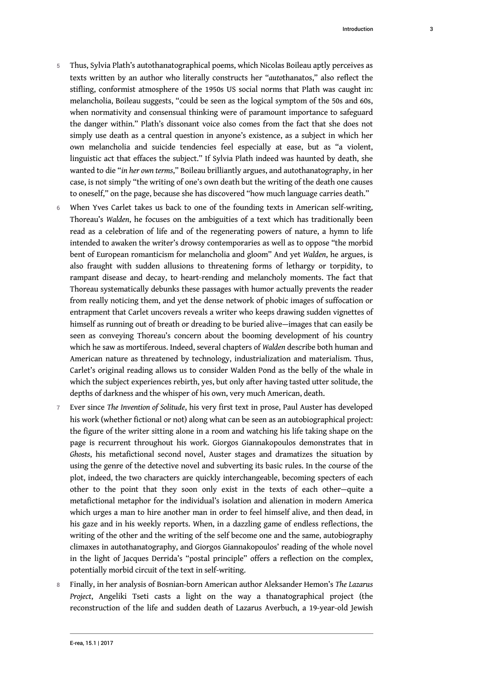- 5 Thus, Sylvia Plath's autothanatographical poems, which Nicolas Boileau aptly perceives as texts written by an author who literally constructs her "*auto*thanatos," also reflect the stifling, conformist atmosphere of the 1950s US social norms that Plath was caught in: melancholia, Boileau suggests, "could be seen as the logical symptom of the 50s and 60s, when normativity and consensual thinking were of paramount importance to safeguard the danger within." Plath's dissonant voice also comes from the fact that she does not simply use death as a central question in anyone's existence, as a subject in which her own melancholia and suicide tendencies feel especially at ease, but as "a violent, linguistic act that effaces the subject." If Sylvia Plath indeed was haunted by death, she wanted to die "*in her own terms*," Boileau brilliantly argues, and autothanatography, in her case, is not simply "the writing of one's own death but the writing of the death one causes to oneself," on the page, because she has discovered "how much language carries death."
- 6 When Yves Carlet takes us back to one of the founding texts in American self-writing, Thoreau's *Walden*, he focuses on the ambiguities of a text which has traditionally been read as a celebration of life and of the regenerating powers of nature, a hymn to life intended to awaken the writer's drowsy contemporaries as well as to oppose "the morbid bent of European romanticism for melancholia and gloom" And yet *Walden*, he argues, is also fraught with sudden allusions to threatening forms of lethargy or torpidity, to rampant disease and decay, to heart-rending and melancholy moments. The fact that Thoreau systematically debunks these passages with humor actually prevents the reader from really noticing them, and yet the dense network of phobic images of suffocation or entrapment that Carlet uncovers reveals a writer who keeps drawing sudden vignettes of himself as running out of breath or dreading to be buried alive—images that can easily be seen as conveying Thoreau's concern about the booming development of his country which he saw as mortiferous. Indeed, several chapters of *Walden* describe both human and American nature as threatened by technology, industrialization and materialism. Thus, Carlet's original reading allows us to consider Walden Pond as the belly of the whale in which the subject experiences rebirth, yes, but only after having tasted utter solitude, the depths of darkness and the whisper of his own, very much American, death.
- <sup>7</sup>Ever since *The Invention of Solitude*, his very first text in prose, Paul Auster has developed his work (whether fictional or not) along what can be seen as an autobiographical project: the figure of the writer sitting alone in a room and watching his life taking shape on the page is recurrent throughout his work. Giorgos Giannakopoulos demonstrates that in *Ghosts*, his metafictional second novel, Auster stages and dramatizes the situation by using the genre of the detective novel and subverting its basic rules. In the course of the plot, indeed, the two characters are quickly interchangeable, becoming specters of each other to the point that they soon only exist in the texts of each other—quite a metafictional metaphor for the individual's isolation and alienation in modern America which urges a man to hire another man in order to feel himself alive, and then dead, in his gaze and in his weekly reports. When, in a dazzling game of endless reflections, the writing of the other and the writing of the self become one and the same, autobiography climaxes in autothanatography, and Giorgos Giannakopoulos' reading of the whole novel in the light of Jacques Derrida's "postal principle" offers a reflection on the complex, potentially morbid circuit of the text in self-writing.
- <sup>8</sup>Finally, in her analysis of Bosnian-born American author Aleksander Hemon's *The Lazarus Project*, Angeliki Tseti casts a light on the way a thanatographical project (the reconstruction of the life and sudden death of Lazarus Averbuch, a 19-year-old Jewish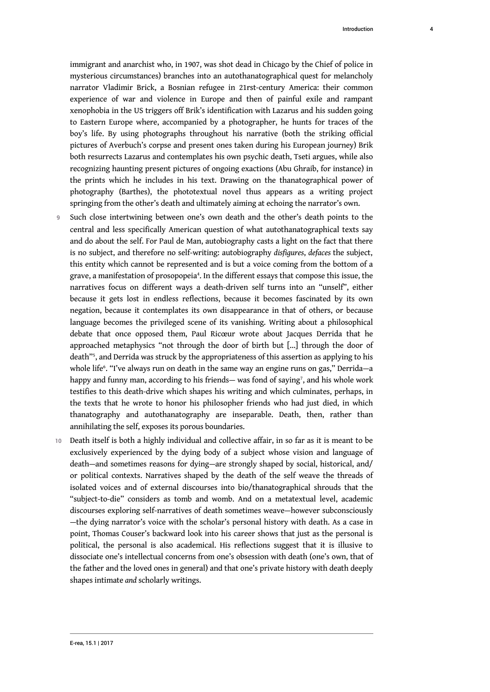immigrant and anarchist who, in 1907, was shot dead in Chicago by the Chief of police in mysterious circumstances) branches into an autothanatographical quest for melancholy narrator Vladimir Brick, a Bosnian refugee in 21rst-century America: their common experience of war and violence in Europe and then of painful exile and rampant xenophobia in the US triggers off Brik's identification with Lazarus and his sudden going to Eastern Europe where, accompanied by a photographer, he hunts for traces of the boy's life. By using photographs throughout his narrative (both the striking official pictures of Averbuch's corpse and present ones taken during his European journey) Brik both resurrects Lazarus and contemplates his own psychic death, Tseti argues, while also recognizing haunting present pictures of ongoing exactions (Abu Ghraib, for instance) in the prints which he includes in his text. Drawing on the thanatographical power of photography (Barthes), the phototextual novel thus appears as a writing project springing from the other's death and ultimately aiming at echoing the narrator's own.

- <span id="page-5-0"></span>9 Such close intertwining between one's own death and the other's death points to the central and less specifically American question of what autothanatographical texts say and do about the self. For Paul de Man, autobiography casts a light on the fact that there is no subject, and therefore no self-writing: autobiography *disfigures*, *defaces* the subject, this entity which cannot be represented and is but a voice coming from the bottom of a grave, a manifestation of prosopopeia<sup>[4](#page-6-3)</sup>. In the different essays that compose this issue, the narratives focus on different ways a death-driven self turns into an "unself", either because it gets lost in endless reflections, because it becomes fascinated by its own negation, because it contemplates its own disappearance in that of others, or because language becomes the privileged scene of its vanishing. Writing about a philosophical debate that once opposed them, Paul Ricœur wrote about Jacques Derrida that he approached metaphysics "not through the door of birth but […] through the door of death"[5](#page-6-4) , and Derrida was struck by the appropriateness of this assertion as applying to his whole life[6](#page-6-5) . "I've always run on death in the same way an engine runs on gas," Derrida—a happy and funny man, according to his friends— was fond of saying<sup>[7](#page-6-6)</sup>, and his whole work testifies to this death-drive which shapes his writing and which culminates, perhaps, in the texts that he wrote to honor his philosopher friends who had just died, in which thanatography and autothanatography are inseparable. Death, then, rather than annihilating the self, exposes its porous boundaries.
- <span id="page-5-3"></span><span id="page-5-2"></span><span id="page-5-1"></span>10 Death itself is both a highly individual and collective affair, in so far as it is meant to be exclusively experienced by the dying body of a subject whose vision and language of death—and sometimes reasons for dying—are strongly shaped by social, historical, and/ or political contexts. Narratives shaped by the death of the self weave the threads of isolated voices and of external discourses into bio/thanatographical shrouds that the "subject-to-die" considers as tomb and womb. And on a metatextual level, academic discourses exploring self-narratives of death sometimes weave—however subconsciously —the dying narrator's voice with the scholar's personal history with death. As a case in point, Thomas Couser's backward look into his career shows that just as the personal is political, the personal is also academical. His reflections suggest that it is illusive to dissociate one's intellectual concerns from one's obsession with death (one's own, that of the father and the loved ones in general) and that one's private history with death deeply shapes intimate *and* scholarly writings.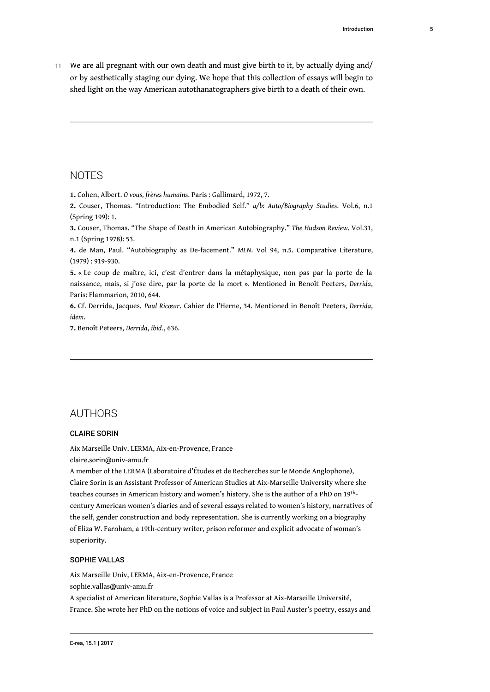11 We are all pregnant with our own death and must give birth to it, by actually dying and/ or by aesthetically staging our dying. We hope that this collection of essays will begin to shed light on the way American autothanatographers give birth to a death of their own.

## **NOTES**

<span id="page-6-0"></span>**[1.](#page-2-0)** Cohen, Albert. *O vous, frères humains*. Paris : Gallimard, 1972, 7.

<span id="page-6-1"></span>**[2.](#page-2-1)** Couser, Thomas. "Introduction: The Embodied Self." *a/b: Auto/Biography Studies*. Vol.6, n.1 (Spring 199): 1.

<span id="page-6-2"></span>**[3.](#page-3-0)** Couser, Thomas. "The Shape of Death in American Autobiography." *The Hudson Review*. Vol.31, n.1 (Spring 1978): 53.

<span id="page-6-3"></span>**[4.](#page-5-0)** de Man, Paul. "Autobiography as De-facement." *MLN*. Vol 94, n.5. Comparative Literature, (1979) : 919-930.

<span id="page-6-4"></span>**[5.](#page-5-1)** « Le coup de maître, ici, c'est d'entrer dans la métaphysique, non pas par la porte de la naissance, mais, si j'ose dire, par la porte de la mort ». Mentioned in Benoît Peeters, *Derrida*, Paris: Flammarion, 2010, 644.

<span id="page-6-5"></span>**[6.](#page-5-2)** Cf. Derrida, Jacques. *Paul Ricœur*. Cahier de l'Herne, 34. Mentioned in Benoît Peeters, *Derrida*, *idem*.

<span id="page-6-6"></span>**[7.](#page-5-3)** Benoît Peteers, *Derrida*, *ibid*., 636.

## AUTHORS

### CLAIRE SORIN

Aix Marseille Univ, LERMA, Aix-en-Provence, France

[claire.sorin@univ-amu.fr](mailto:claire.sorin@univ-amu.fr)

A member of the LERMA (Laboratoire d'Études et de Recherches sur le Monde Anglophone), Claire Sorin is an Assistant Professor of American Studies at Aix-Marseille University where she teaches courses in American history and women's history. She is the author of a PhD on 19<sup>th</sup>century American women's diaries and of several essays related to women's history, narratives of the self, gender construction and body representation. She is currently working on a biography of Eliza W. Farnham, a 19th-century writer, prison reformer and explicit advocate of woman's superiority.

### SOPHIE VALLAS

Aix Marseille Univ, LERMA, Aix-en-Provence, France

[sophie.vallas@univ-amu.fr](mailto:sophie.vallas@univ-amu.fr)

A specialist of American literature, Sophie Vallas is a Professor at Aix-Marseille Université, France. She wrote her PhD on the notions of voice and subject in Paul Auster's poetry, essays and